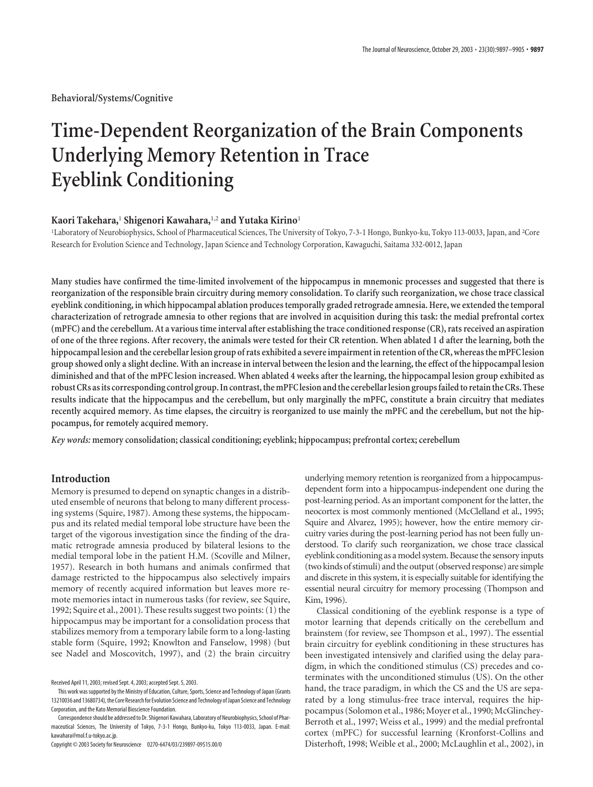**Behavioral/Systems/Cognitive**

# **Time-Dependent Reorganization of the Brain Components Underlying Memory Retention in Trace Eyeblink Conditioning**

#### **Kaori Takehara,**<sup>1</sup> **Shigenori Kawahara,**1,2 **and Yutaka Kirino**<sup>1</sup>

<sup>1</sup>Laboratory of Neurobiophysics, School of Pharmaceutical Sciences, The University of Tokyo, 7-3-1 Hongo, Bunkyo-ku, Tokyo 113-0033, Japan, and <sup>2</sup>Core Research for Evolution Science and Technology, Japan Science and Technology Corporation, Kawaguchi, Saitama 332-0012, Japan

**Many studies have confirmed the time-limited involvement of the hippocampus in mnemonic processes and suggested that there is reorganization of the responsible brain circuitry during memory consolidation. To clarify such reorganization, we chose trace classical eyeblink conditioning, in which hippocampal ablation produces temporally graded retrograde amnesia. Here, we extended the temporal characterization of retrograde amnesia to other regions that are involved in acquisition during this task: the medial prefrontal cortex (mPFC) and the cerebellum. At a various time interval after establishing the trace conditioned response (CR), rats received an aspiration of one of the three regions. After recovery, the animals were tested for their CR retention. When ablated 1 d after the learning, both the hippocampal lesion and the cerebellar lesion group of rats exhibited a severe impairment in retention of the CR, whereas the mPFC lesion group showed only a slight decline. With an increase in interval between the lesion and the learning, the effect of the hippocampal lesion diminished and that of the mPFC lesion increased. When ablated 4 weeks after the learning, the hippocampal lesion group exhibited as robust CRs as its corresponding control group. In contrast, the mPFC lesion and the cerebellar lesion groups failed to retain the CRs. These results indicate that the hippocampus and the cerebellum, but only marginally the mPFC, constitute a brain circuitry that mediates recently acquired memory. As time elapses, the circuitry is reorganized to use mainly the mPFC and the cerebellum, but not the hippocampus, for remotely acquired memory.**

*Key words:* **memory consolidation; classical conditioning; eyeblink; hippocampus; prefrontal cortex; cerebellum**

# **Introduction**

Memory is presumed to depend on synaptic changes in a distributed ensemble of neurons that belong to many different processing systems (Squire, 1987). Among these systems, the hippocampus and its related medial temporal lobe structure have been the target of the vigorous investigation since the finding of the dramatic retrograde amnesia produced by bilateral lesions to the medial temporal lobe in the patient H.M. (Scoville and Milner, 1957). Research in both humans and animals confirmed that damage restricted to the hippocampus also selectively impairs memory of recently acquired information but leaves more remote memories intact in numerous tasks (for review, see Squire, 1992; Squire et al., 2001). These results suggest two points: (1) the hippocampus may be important for a consolidation process that stabilizes memory from a temporary labile form to a long-lasting stable form (Squire, 1992; Knowlton and Fanselow, 1998) (but see Nadel and Moscovitch, 1997), and (2) the brain circuitry

Copyright © 2003 Society for Neuroscience 0270-6474/03/239897-09\$15.00/0

underlying memory retention is reorganized from a hippocampusdependent form into a hippocampus-independent one during the post-learning period. As an important component for the latter, the neocortex is most commonly mentioned (McClelland et al., 1995; Squire and Alvarez, 1995); however, how the entire memory circuitry varies during the post-learning period has not been fully understood. To clarify such reorganization, we chose trace classical eyeblink conditioning as a model system. Because the sensory inputs (two kinds of stimuli) and the output (observed response) are simple and discrete in this system, it is especially suitable for identifying the essential neural circuitry for memory processing (Thompson and Kim, 1996).

Classical conditioning of the eyeblink response is a type of motor learning that depends critically on the cerebellum and brainstem (for review, see Thompson et al., 1997). The essential brain circuitry for eyeblink conditioning in these structures has been investigated intensively and clarified using the delay paradigm, in which the conditioned stimulus (CS) precedes and coterminates with the unconditioned stimulus (US). On the other hand, the trace paradigm, in which the CS and the US are separated by a long stimulus-free trace interval, requires the hippocampus (Solomon et al., 1986; Moyer et al., 1990; McGlinchey-Berroth et al., 1997; Weiss et al., 1999) and the medial prefrontal cortex (mPFC) for successful learning (Kronforst-Collins and Disterhoft, 1998; Weible et al., 2000; McLaughlin et al., 2002), in

Received April 11, 2003; revised Sept. 4, 2003; accepted Sept. 5, 2003.

This work was supported by the Ministry of Education, Culture, Sports, Science and Technology of Japan (Grants 13210036 and 13680734), the Core Research for Evolution Science and Technology of Japan Science and Technology Corporation, and the Kato Memorial Bioscience Foundation.

Correspondence should be addressed to Dr. Shigenori Kawahara, Laboratory of Neurobiophysics, School of Pharmaceutical Sciences, The University of Tokyo, 7-3-1 Hongo, Bunkyo-ku, Tokyo 113-0033, Japan. E-mail: kawahara@mol.f.u-tokyo.ac.jp.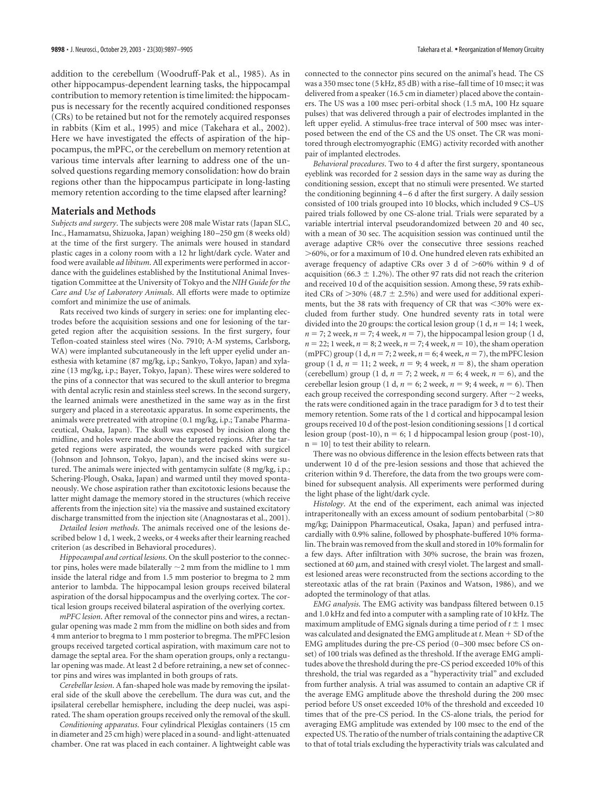addition to the cerebellum (Woodruff-Pak et al., 1985). As in other hippocampus-dependent learning tasks, the hippocampal contribution to memory retention is time limited: the hippocampus is necessary for the recently acquired conditioned responses (CRs) to be retained but not for the remotely acquired responses in rabbits (Kim et al., 1995) and mice (Takehara et al., 2002). Here we have investigated the effects of aspiration of the hippocampus, the mPFC, or the cerebellum on memory retention at various time intervals after learning to address one of the unsolved questions regarding memory consolidation: how do brain regions other than the hippocampus participate in long-lasting memory retention according to the time elapsed after learning?

#### **Materials and Methods**

*Subjects and surgery*. The subjects were 208 male Wistar rats (Japan SLC, Inc., Hamamatsu, Shizuoka, Japan) weighing 180 –250 gm (8 weeks old) at the time of the first surgery. The animals were housed in standard plastic cages in a colony room with a 12 hr light/dark cycle. Water and food were available *ad libitum*. All experiments were performed in accordance with the guidelines established by the Institutional Animal Investigation Committee at the University of Tokyo and the *NIH Guide for the Care and Use of Laboratory Animals*. All efforts were made to optimize comfort and minimize the use of animals.

Rats received two kinds of surgery in series: one for implanting electrodes before the acquisition sessions and one for lesioning of the targeted region after the acquisition sessions. In the first surgery, four Teflon-coated stainless steel wires (No. 7910; A-M systems, Carlsborg, WA) were implanted subcutaneously in the left upper eyelid under anesthesia with ketamine (87 mg/kg, i.p.; Sankyo, Tokyo, Japan) and xylazine (13 mg/kg, i.p.; Bayer, Tokyo, Japan). These wires were soldered to the pins of a connector that was secured to the skull anterior to bregma with dental acrylic resin and stainless steel screws. In the second surgery, the learned animals were anesthetized in the same way as in the first surgery and placed in a stereotaxic apparatus. In some experiments, the animals were pretreated with atropine (0.1 mg/kg, i.p.; Tanabe Pharmaceutical, Osaka, Japan). The skull was exposed by incision along the midline, and holes were made above the targeted regions. After the targeted regions were aspirated, the wounds were packed with surgicel (Johnson and Johnson, Tokyo, Japan), and the incised skins were sutured. The animals were injected with gentamycin sulfate (8 mg/kg, i.p.; Schering-Plough, Osaka, Japan) and warmed until they moved spontaneously. We chose aspiration rather than excitotoxic lesions because the latter might damage the memory stored in the structures (which receive afferents from the injection site) via the massive and sustained excitatory discharge transmitted from the injection site (Anagnostaras et al., 2001).

*Detailed lesion methods*. The animals received one of the lesions described below 1 d, 1 week, 2 weeks, or 4 weeks after their learning reached criterion (as described in Behavioral procedures).

*Hippocampal and cortical lesions*. On the skull posterior to the connector pins, holes were made bilaterally  $\sim$ 2 mm from the midline to 1 mm inside the lateral ridge and from 1.5 mm posterior to bregma to 2 mm anterior to lambda. The hippocampal lesion groups received bilateral aspiration of the dorsal hippocampus and the overlying cortex. The cortical lesion groups received bilateral aspiration of the overlying cortex.

*mPFC lesion*. After removal of the connector pins and wires, a rectangular opening was made 2 mm from the midline on both sides and from 4 mm anterior to bregma to 1 mm posterior to bregma. The mPFC lesion groups received targeted cortical aspiration, with maximum care not to damage the septal area. For the sham operation groups, only a rectangular opening was made. At least 2 d before retraining, a new set of connector pins and wires was implanted in both groups of rats.

*Cerebellar lesion*. A fan-shaped hole was made by removing the ipsilateral side of the skull above the cerebellum. The dura was cut, and the ipsilateral cerebellar hemisphere, including the deep nuclei, was aspirated. The sham operation groups received only the removal of the skull.

*Conditioning apparatus*. Four cylindrical Plexiglas containers (15 cm in diameter and 25 cm high) were placed in a sound- and light-attenuated chamber. One rat was placed in each container. A lightweight cable was

connected to the connector pins secured on the animal's head. The CS was a 350 msec tone (5 kHz, 85 dB) with a rise–fall time of 10 msec; it was delivered from a speaker (16.5 cm in diameter) placed above the containers. The US was a 100 msec peri-orbital shock (1.5 mA, 100 Hz square pulses) that was delivered through a pair of electrodes implanted in the left upper eyelid. A stimulus-free trace interval of 500 msec was interposed between the end of the CS and the US onset. The CR was monitored through electromyographic (EMG) activity recorded with another pair of implanted electrodes.

*Behavioral procedures*. Two to 4 d after the first surgery, spontaneous eyeblink was recorded for 2 session days in the same way as during the conditioning session, except that no stimuli were presented. We started the conditioning beginning 4 – 6 d after the first surgery. A daily session consisted of 100 trials grouped into 10 blocks, which included 9 CS–US paired trials followed by one CS-alone trial. Trials were separated by a variable intertrial interval pseudorandomized between 20 and 40 sec, with a mean of 30 sec. The acquisition session was continued until the average adaptive CR% over the consecutive three sessions reached -60%, or for a maximum of 10 d. One hundred eleven rats exhibited an average frequency of adaptive CRs over 3 d of >60% within 9 d of acquisition (66.3  $\pm$  1.2%). The other 97 rats did not reach the criterion and received 10 d of the acquisition session. Among these, 59 rats exhibited CRs of  $>$  30% (48.7  $\pm$  2.5%) and were used for additional experiments, but the 38 rats with frequency of CR that was <30% were excluded from further study. One hundred seventy rats in total were divided into the 20 groups: the cortical lesion group  $(1 d, n = 14; 1$  week,  $n = 7$ ; 2 week,  $n = 7$ ; 4 week,  $n = 7$ ), the hippocampal lesion group (1 d,  $n = 22$ ; 1 week,  $n = 8$ ; 2 week,  $n = 7$ ; 4 week,  $n = 10$ ), the sham operation (mPFC) group (1 d,  $n = 7$ ; 2 week,  $n = 6$ ; 4 week,  $n = 7$ ), the mPFC lesion group (1 d,  $n = 11$ ; 2 week,  $n = 9$ ; 4 week,  $n = 8$ ), the sham operation (cerebellum) group (1 d,  $n = 7$ ; 2 week,  $n = 6$ ; 4 week,  $n = 6$ ), and the cerebellar lesion group (1 d,  $n = 6$ ; 2 week,  $n = 9$ ; 4 week,  $n = 6$ ). Then each group received the corresponding second surgery. After  $\sim$  2 weeks, the rats were conditioned again in the trace paradigm for 3 d to test their memory retention. Some rats of the 1 d cortical and hippocampal lesion groups received 10 d of the post-lesion conditioning sessions [1 d cortical lesion group (post-10),  $n = 6$ ; 1 d hippocampal lesion group (post-10),  $n = 10$ ] to test their ability to relearn.

There was no obvious difference in the lesion effects between rats that underwent 10 d of the pre-lesion sessions and those that achieved the criterion within 9 d. Therefore, the data from the two groups were combined for subsequent analysis. All experiments were performed during the light phase of the light/dark cycle.

*Histology*. At the end of the experiment, each animal was injected intraperitoneally with an excess amount of sodium pentobarbital  $(>$ 80 mg/kg; Dainippon Pharmaceutical, Osaka, Japan) and perfused intracardially with 0.9% saline, followed by phosphate-buffered 10% formalin. The brain was removed from the skull and stored in 10% formalin for a few days. After infiltration with 30% sucrose, the brain was frozen, sectioned at 60  $\mu$ m, and stained with cresyl violet. The largest and smallest lesioned areas were reconstructed from the sections according to the stereotaxic atlas of the rat brain (Paxinos and Watson, 1986), and we adopted the terminology of that atlas.

*EMG analysis*. The EMG activity was bandpass filtered between 0.15 and 1.0 kHz and fed into a computer with a sampling rate of 10 kHz. The maximum amplitude of EMG signals during a time period of  $t \pm 1$  msec was calculated and designated the EMG amplitude at *t*. Mean + SD of the EMG amplitudes during the pre-CS period (0-300 msec before CS onset) of 100 trials was defined as the threshold. If the average EMG amplitudes above the threshold during the pre-CS period exceeded 10% of this threshold, the trial was regarded as a "hyperactivity trial" and excluded from further analysis. A trial was assumed to contain an adaptive CR if the average EMG amplitude above the threshold during the 200 msec period before US onset exceeded 10% of the threshold and exceeded 10 times that of the pre-CS period. In the CS-alone trials, the period for averaging EMG amplitude was extended by 100 msec to the end of the expected US. The ratio of the number of trials containing the adaptive CR to that of total trials excluding the hyperactivity trials was calculated and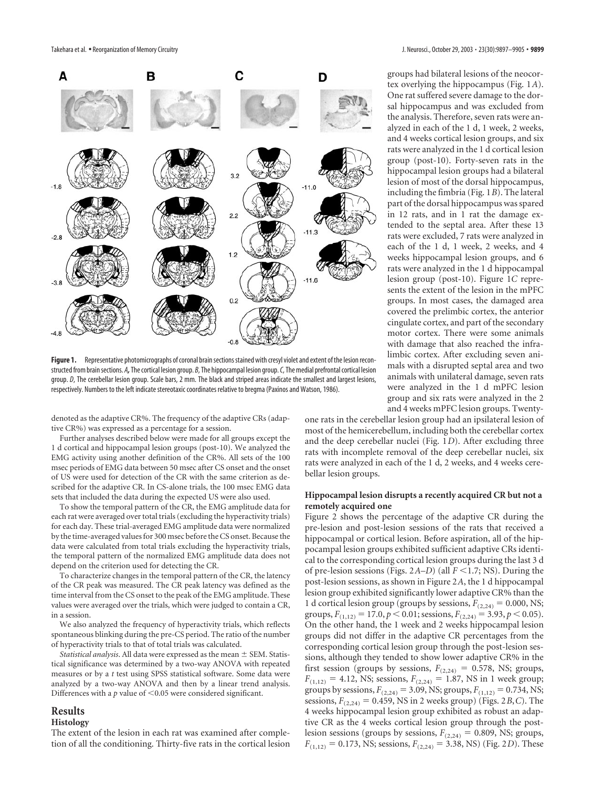

**Figure 1.** Representative photomicrographs of coronal brain sections stained with cresyl violet and extent of the lesion reconstructed from brain sections. *A,*The cortical lesion group. *B*, The hippocampal lesion group.*C*, The medial prefrontal cortical lesion group. *D*, The cerebellar lesion group. Scale bars, 2 mm. The black and striped areas indicate the smallest and largest lesions, respectively. Numbers to the left indicate stereotaxic coordinates relative to bregma (Paxinos and Watson, 1986).

denoted as the adaptive CR%. The frequency of the adaptive CRs (adaptive CR%) was expressed as a percentage for a session.

Further analyses described below were made for all groups except the 1 d cortical and hippocampal lesion groups (post-10). We analyzed the EMG activity using another definition of the CR%. All sets of the 100 msec periods of EMG data between 50 msec after CS onset and the onset of US were used for detection of the CR with the same criterion as described for the adaptive CR. In CS-alone trials, the 100 msec EMG data sets that included the data during the expected US were also used.

To show the temporal pattern of the CR, the EMG amplitude data for each rat were averaged over total trials (excluding the hyperactivity trials) for each day. These trial-averaged EMG amplitude data were normalized by the time-averaged values for 300 msec before the CS onset. Because the data were calculated from total trials excluding the hyperactivity trials, the temporal pattern of the normalized EMG amplitude data does not depend on the criterion used for detecting the CR.

To characterize changes in the temporal pattern of the CR, the latency of the CR peak was measured. The CR peak latency was defined as the time interval from the CS onset to the peak of the EMG amplitude. These values were averaged over the trials, which were judged to contain a CR, in a session.

We also analyzed the frequency of hyperactivity trials, which reflects spontaneous blinking during the pre-CS period. The ratio of the number of hyperactivity trials to that of total trials was calculated.

*Statistical analysis*. All data were expressed as the mean  $\pm$  SEM. Statistical significance was determined by a two-way ANOVA with repeated measures or by a *t* test using SPSS statistical software. Some data were analyzed by a two-way ANOVA and then by a linear trend analysis. Differences with a  $p$  value of  $\leq 0.05$  were considered significant.

### **Results**

#### **Histology**

The extent of the lesion in each rat was examined after completion of all the conditioning. Thirty-five rats in the cortical lesion groups had bilateral lesions of the neocortex overlying the hippocampus (Fig. 1*A*). One rat suffered severe damage to the dorsal hippocampus and was excluded from the analysis. Therefore, seven rats were analyzed in each of the 1 d, 1 week, 2 weeks, and 4 weeks cortical lesion groups, and six rats were analyzed in the 1 d cortical lesion group (post-10). Forty-seven rats in the hippocampal lesion groups had a bilateral lesion of most of the dorsal hippocampus, including the fimbria (Fig. 1*B*). The lateral part of the dorsal hippocampus was spared in 12 rats, and in 1 rat the damage extended to the septal area. After these 13 rats were excluded, 7 rats were analyzed in each of the 1 d, 1 week, 2 weeks, and 4 weeks hippocampal lesion groups, and 6 rats were analyzed in the 1 d hippocampal lesion group (post-10). Figure 1*C* represents the extent of the lesion in the mPFC groups. In most cases, the damaged area covered the prelimbic cortex, the anterior cingulate cortex, and part of the secondary motor cortex. There were some animals with damage that also reached the infralimbic cortex. After excluding seven animals with a disrupted septal area and two animals with unilateral damage, seven rats were analyzed in the 1 d mPFC lesion group and six rats were analyzed in the 2 and 4 weeks mPFC lesion groups. Twenty-

one rats in the cerebellar lesion group had an ipsilateral lesion of most of the hemicerebellum, including both the cerebellar cortex and the deep cerebellar nuclei (Fig. 1*D*). After excluding three rats with incomplete removal of the deep cerebellar nuclei, six rats were analyzed in each of the 1 d, 2 weeks, and 4 weeks cerebellar lesion groups.

#### **Hippocampal lesion disrupts a recently acquired CR but not a remotely acquired one**

Figure 2 shows the percentage of the adaptive CR during the pre-lesion and post-lesion sessions of the rats that received a hippocampal or cortical lesion. Before aspiration, all of the hippocampal lesion groups exhibited sufficient adaptive CRs identical to the corresponding cortical lesion groups during the last 3 d of pre-lesion sessions (Figs.  $2A-D$ ) (all  $F \leq 1.7$ ; NS). During the post-lesion sessions, as shown in Figure 2*A*, the 1 d hippocampal lesion group exhibited significantly lower adaptive CR% than the 1 d cortical lesion group (groups by sessions,  $F_{(2,24)} = 0.000$ , NS; groups,  $F_{(1,12)} = 17.0$ ,  $p < 0.01$ ; sessions,  $F_{(2,24)} = 3.93$ ,  $p < 0.05$ ). On the other hand, the 1 week and 2 weeks hippocampal lesion groups did not differ in the adaptive CR percentages from the corresponding cortical lesion group through the post-lesion sessions, although they tended to show lower adaptive CR% in the first session (groups by sessions,  $F_{(2,24)} = 0.578$ , NS; groups,  $F_{(1,12)} = 4.12$ , NS; sessions,  $F_{(2,24)} = 1.87$ , NS in 1 week group; groups by sessions,  $F_{(2,24)} = 3.09$ , NS; groups,  $F_{(1,12)} = 0.734$ , NS; sessions,  $F_{(2,24)} = 0.459$ , NS in 2 weeks group) (Figs. 2*B*,*C*). The 4 weeks hippocampal lesion group exhibited as robust an adaptive CR as the 4 weeks cortical lesion group through the postlesion sessions (groups by sessions,  $F_{(2,24)} = 0.809$ , NS; groups,  $F_{(1,12)} = 0.173$ , NS; sessions,  $F_{(2,24)} = 3.38$ , NS) (Fig. 2*D*). These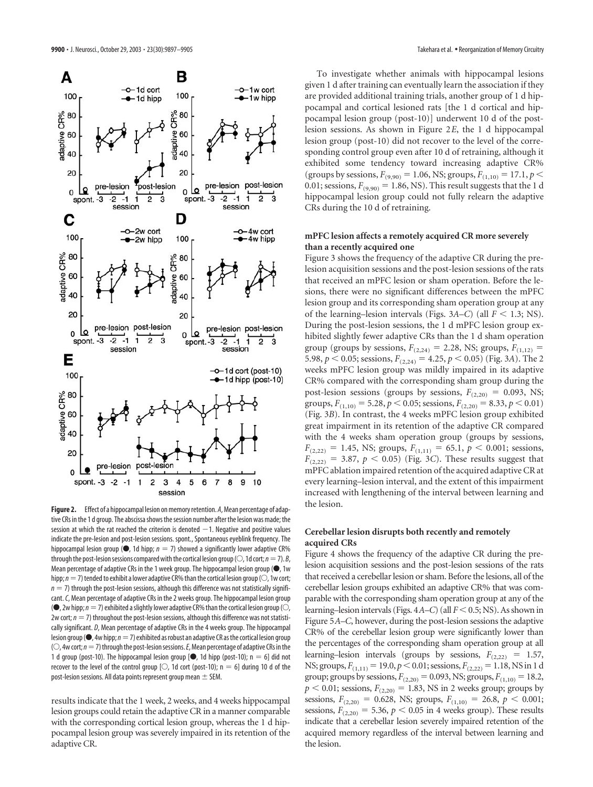

**Figure 2.** Effect of a hippocampal lesion on memory retention. *A*, Mean percentage of adaptive CRs in the 1 d group. The abscissa shows the session number after the lesion was made; the session at which the rat reached the criterion is denoted  $-1$ . Negative and positive values indicate the pre-lesion and post-lesion sessions. spont., Spontaneous eyeblink frequency. The hippocampal lesion group ( $\bullet$ , 1d hipp;  $n = 7$ ) showed a significantly lower adaptive CR% through the post-lesion sessions compared with the cortical lesion group ( $\bigcirc$ , 1d cort;  $n=7$ ). *B*, Mean percentage of adaptive CRs in the 1 week group. The hippocampal lesion group ( $\bullet$ , 1w hipp;  $n=7$ ) tended to exhibit a lower adaptive CR% than the cortical lesion group ( $\odot$ , 1w cort;  $n = 7$ ) through the post-lesion sessions, although this difference was not statistically significant.*C*, Mean percentage of adaptive CRs in the 2 weeks group. The hippocampal lesion group ( $\bullet$ , 2w hipp;  $n=7$ ) exhibited a slightly lower adaptive CR% than the cortical lesion group ( $\circlearrowright$ ), 2w cort;  $n = 7$ ) throughout the post-lesion sessions, although this difference was not statistically significant. *D*, Mean percentage of adaptive CRs in the 4 weeks group. The hippocampal lesion group ( $\bullet$ , 4w hipp;  $n=7$ ) exhibited as robust an adaptive CR as the cortical lesion group  $($ O $,$  4w cort;  $n=7$ ) through the post-lesion sessions. *E*, Mean percentage of adaptive CRs in the 1 d group (post-10). The hippocampal lesion group  $[•]$ , 1d hipp (post-10); n = 6] did not recover to the level of the control group [ $\circ$ , 1d cort (post-10); n = 6] during 10 d of the post-lesion sessions. All data points represent group mean  $\pm$  SEM.

results indicate that the 1 week, 2 weeks, and 4 weeks hippocampal lesion groups could retain the adaptive CR in a manner comparable with the corresponding cortical lesion group, whereas the 1 d hippocampal lesion group was severely impaired in its retention of the adaptive CR.

To investigate whether animals with hippocampal lesions given 1 d after training can eventually learn the association if they are provided additional training trials, another group of 1 d hippocampal and cortical lesioned rats [the 1 d cortical and hippocampal lesion group (post-10)] underwent 10 d of the postlesion sessions. As shown in Figure 2*E*, the 1 d hippocampal lesion group (post-10) did not recover to the level of the corresponding control group even after 10 d of retraining, although it exhibited some tendency toward increasing adaptive CR% (groups by sessions,  $F_{(9,90)} = 1.06$ , NS; groups,  $F_{(1,10)} = 17.1$ ,  $p <$ 0.01; sessions,  $F_{(9,90)} = 1.86$ , NS). This result suggests that the 1 d hippocampal lesion group could not fully relearn the adaptive CRs during the 10 d of retraining.

# **mPFC lesion affects a remotely acquired CR more severely than a recently acquired one**

Figure 3 shows the frequency of the adaptive CR during the prelesion acquisition sessions and the post-lesion sessions of the rats that received an mPFC lesion or sham operation. Before the lesions, there were no significant differences between the mPFC lesion group and its corresponding sham operation group at any of the learning–lesion intervals (Figs.  $3A-C$ ) (all  $F < 1.3$ ; NS). During the post-lesion sessions, the 1 d mPFC lesion group exhibited slightly fewer adaptive CRs than the 1 d sham operation group (groups by sessions,  $F_{(2,24)} = 2.28$ , NS; groups,  $F_{(1,12)} =$ 5.98,  $p < 0.05$ ; sessions,  $F_{(2,24)} = 4.25$ ,  $p < 0.05$ ) (Fig. 3*A*). The 2 weeks mPFC lesion group was mildly impaired in its adaptive CR% compared with the corresponding sham group during the post-lesion sessions (groups by sessions,  $F_{(2,20)} = 0.093$ , NS; groups,  $F_{(1,10)} = 5.28$ ,  $p < 0.05$ ; sessions,  $F_{(2,20)} = 8.33$ ,  $p < 0.01$ ) (Fig. 3*B*). In contrast, the 4 weeks mPFC lesion group exhibited great impairment in its retention of the adaptive CR compared with the 4 weeks sham operation group (groups by sessions,  $F_{(2,22)} = 1.45$ , NS; groups,  $F_{(1,11)} = 65.1$ ,  $p < 0.001$ ; sessions,  $F_{(2,22)} = 3.87, p \le 0.05$ ) (Fig. 3*C*). These results suggest that mPFC ablation impaired retention of the acquired adaptive CR at every learning–lesion interval, and the extent of this impairment increased with lengthening of the interval between learning and the lesion.

# **Cerebellar lesion disrupts both recently and remotely acquired CRs**

Figure 4 shows the frequency of the adaptive CR during the prelesion acquisition sessions and the post-lesion sessions of the rats that received a cerebellar lesion or sham. Before the lesions, all of the cerebellar lesion groups exhibited an adaptive CR% that was comparable with the corresponding sham operation group at any of the learning–lesion intervals (Figs. 4*A*–*C*) (all *F* < 0.5; NS). As shown in Figure 5*A*–*C*, however, during the post-lesion sessions the adaptive CR% of the cerebellar lesion group were significantly lower than the percentages of the corresponding sham operation group at all learning–lesion intervals (groups by sessions,  $F_{(2,22)} = 1.57$ , NS; groups,  $F_{(1,11)} = 19.0, p < 0.01$ ; sessions,  $F_{(2,22)} = 1.18$ , NS in 1 d group; groups by sessions,  $F_{(2,20)} = 0.093$ , NS; groups,  $F_{(1,10)} = 18.2$ ,  $p < 0.01$ ; sessions,  $F_{(2,20)} = 1.83$ , NS in 2 weeks group; groups by sessions,  $F_{(2,20)} = 0.628$ , NS; groups,  $F_{(1,10)} = 26.8$ ,  $p < 0.001$ ; sessions,  $F_{(2,20)} = 5.36$ ,  $p < 0.05$  in 4 weeks group). These results indicate that a cerebellar lesion severely impaired retention of the acquired memory regardless of the interval between learning and the lesion.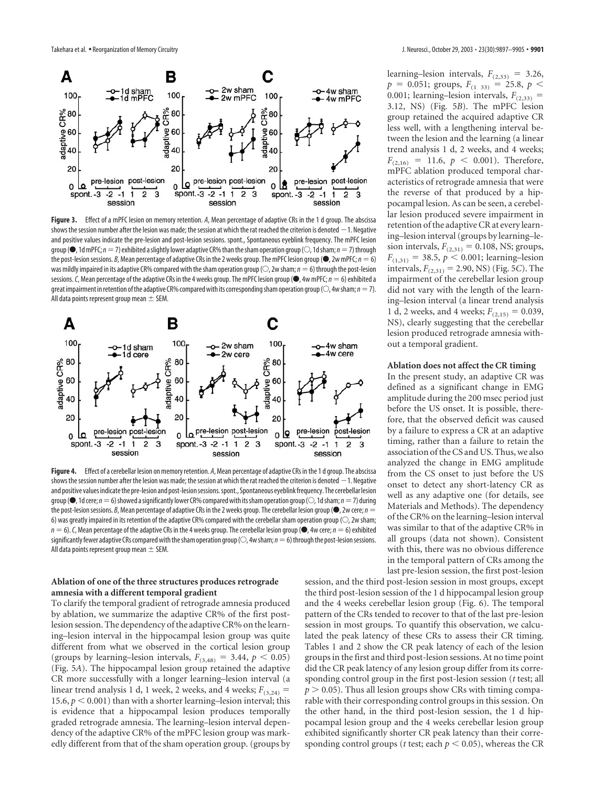

**Figure 3.** Effect of a mPFC lesion on memory retention. *A*, Mean percentage of adaptive CRs in the 1 d group. The abscissa shows the session number after the lesion was made; the session at which the rat reached the criterion is denoted  $-1$ . Negative and positive values indicate the pre-lesion and post-lesion sessions. spont., Spontaneous eyeblink frequency. The mPFC lesion group ( $\bullet$ , 1d mPFC;  $n=7$ ) exhibited a slightly lower adaptive CR% than the sham operation group ( $\circ$ , 1d sham;  $n=7$ ) through the post-lesion sessions. *B*, Mean percentage of adaptive CRs in the 2 weeks group. The mPFC lesion group ( $\bullet$ , 2w mPFC;  $n = 6$ ) was mildly impaired in its adaptive CR% compared with the sham operation group ( $\bigcirc$ , 2w sham;  $n=6$ ) through the post-lesion sessions. C, Mean percentage of the adaptive CRs in the 4 weeks group. The mPFC lesion group ( $\bullet$ , 4w mPFC;  $n = 6$ ) exhibited a great impairment in retention of the adaptive CR% compared with its corresponding sham operation group ( $\bigcirc$ , 4w sham;  $n=7$ ). All data points represent group mean  $\pm$  SEM.



**Figure 4.** Effect of a cerebellar lesion on memory retention. *A*, Mean percentage of adaptive CRs in the 1 d group. The abscissa shows the session number after the lesion was made; the session at which the rat reached the criterion is denoted  $-1$ . Negative and positive values indicate the pre-lesion and post-lesion sessions. spont., Spontaneous eyeblink frequency. The cerebellar lesion group ( $\bullet$ , 1d cere; *n* = 6) showed a significantly lower CR% compared with its sham operation group ( $\circ$ , 1d sham; *n* = 7) during the post-lesion sessions. *B*, Mean percentage of adaptive CRs in the 2 weeks group. The cerebellar lesion group ( $\bullet$ , 2w cere; *n* = 6) was greatly impaired in its retention of the adaptive CR% compared with the cerebellar sham operation group ( $\odot$ , 2w sham;  $n = 6$ ). C, Mean percentage of the adaptive CRs in the 4 weeks group. The cerebellar lesion group ( $\bullet$ , 4w cere;  $n = 6$ ) exhibited significantly fewer adaptive CRs compared with the sham operation group ( $\bigcirc$ , 4w sham;  $n=6$ ) through the post-lesion sessions. All data points represent group mean  $\pm$  SEM.

## **Ablation of one of the three structures produces retrograde amnesia with a different temporal gradient**

To clarify the temporal gradient of retrograde amnesia produced by ablation, we summarize the adaptive CR% of the first postlesion session. The dependency of the adaptive CR% on the learning–lesion interval in the hippocampal lesion group was quite different from what we observed in the cortical lesion group (groups by learning–lesion intervals,  $F_{(3,48)} = 3.44$ ,  $p < 0.05$ ) (Fig. 5*A*). The hippocampal lesion group retained the adaptive CR more successfully with a longer learning–lesion interval (a linear trend analysis 1 d, 1 week, 2 weeks, and 4 weeks;  $F_{(3,24)}$  = 15.6,  $p < 0.001$ ) than with a shorter learning–lesion interval; this is evidence that a hippocampal lesion produces temporally graded retrograde amnesia. The learning–lesion interval dependency of the adaptive CR% of the mPFC lesion group was markedly different from that of the sham operation group. (groups by learning–lesion intervals,  $F_{(2,33)} = 3.26$ ,  $p = 0.051$ ; groups,  $F_{(1, 33)} = 25.8$ ,  $p <$ 0.001; learning–lesion intervals,  $F_{(2,33)}$  = 3.12, NS) (Fig. 5*B*). The mPFC lesion group retained the acquired adaptive CR less well, with a lengthening interval between the lesion and the learning (a linear trend analysis 1 d, 2 weeks, and 4 weeks;  $F_{(2,16)} = 11.6, p \le 0.001$ . Therefore, mPFC ablation produced temporal characteristics of retrograde amnesia that were the reverse of that produced by a hippocampal lesion. As can be seen, a cerebellar lesion produced severe impairment in retention of the adaptive CR at every learning–lesion interval (groups by learning–lesion intervals,  $F_{(2,31)} = 0.108$ , NS; groups,  $F_{(1,31)} = 38.5, p < 0.001;$  learning–lesion intervals,  $F_{(2,31)} = 2.90$ , NS) (Fig. 5*C*). The impairment of the cerebellar lesion group did not vary with the length of the learning–lesion interval (a linear trend analysis 1 d, 2 weeks, and 4 weeks;  $F_{(2,15)} = 0.039$ , NS), clearly suggesting that the cerebellar lesion produced retrograde amnesia without a temporal gradient.

#### **Ablation does not affect the CR timing**

In the present study, an adaptive CR was defined as a significant change in EMG amplitude during the 200 msec period just before the US onset. It is possible, therefore, that the observed deficit was caused by a failure to express a CR at an adaptive timing, rather than a failure to retain the association of the CS and US. Thus, we also analyzed the change in EMG amplitude from the CS onset to just before the US onset to detect any short-latency CR as well as any adaptive one (for details, see Materials and Methods). The dependency of the CR% on the learning–lesion interval was similar to that of the adaptive CR% in all groups (data not shown). Consistent with this, there was no obvious difference in the temporal pattern of CRs among the last pre-lesion session, the first post-lesion

session, and the third post-lesion session in most groups, except the third post-lesion session of the 1 d hippocampal lesion group and the 4 weeks cerebellar lesion group (Fig. 6). The temporal pattern of the CRs tended to recover to that of the last pre-lesion session in most groups. To quantify this observation, we calculated the peak latency of these CRs to assess their CR timing. Tables 1 and 2 show the CR peak latency of each of the lesion groups in the first and third post-lesion sessions. At no time point did the CR peak latency of any lesion group differ from its corresponding control group in the first post-lesion session (*t* test; all  $p > 0.05$ ). Thus all lesion groups show CRs with timing comparable with their corresponding control groups in this session. On the other hand, in the third post-lesion session, the 1 d hippocampal lesion group and the 4 weeks cerebellar lesion group exhibited significantly shorter CR peak latency than their corresponding control groups (*t* test; each  $p < 0.05$ ), whereas the CR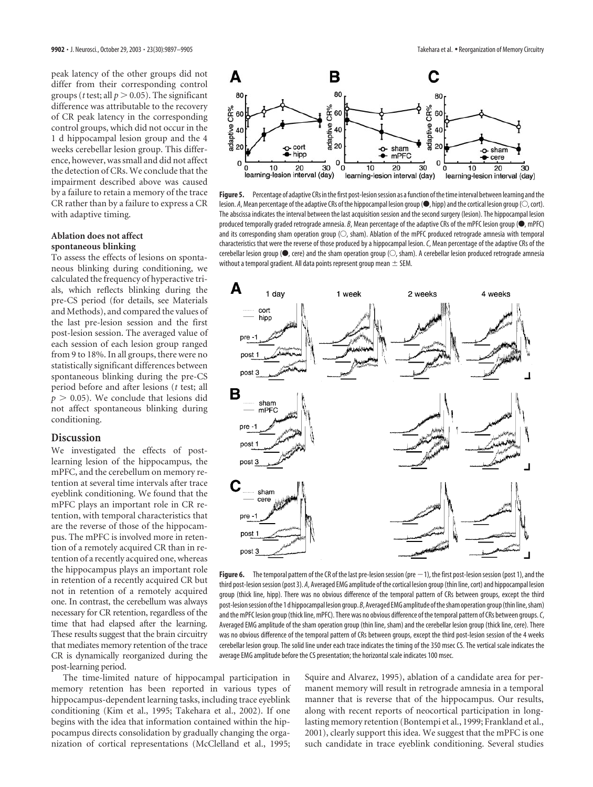peak latency of the other groups did not differ from their corresponding control groups (*t* test; all  $p > 0.05$ ). The significant difference was attributable to the recovery of CR peak latency in the corresponding control groups, which did not occur in the 1 d hippocampal lesion group and the 4 weeks cerebellar lesion group. This difference, however, was small and did not affect the detection of CRs. We conclude that the impairment described above was caused by a failure to retain a memory of the trace CR rather than by a failure to express a CR with adaptive timing.

# **Ablation does not affect spontaneous blinking**

To assess the effects of lesions on spontaneous blinking during conditioning, we calculated the frequency of hyperactive trials, which reflects blinking during the pre-CS period (for details, see Materials and Methods), and compared the values of the last pre-lesion session and the first post-lesion session. The averaged value of each session of each lesion group ranged from 9 to 18%. In all groups, there were no statistically significant differences between spontaneous blinking during the pre-CS period before and after lesions (*t* test; all  $p > 0.05$ ). We conclude that lesions did not affect spontaneous blinking during conditioning.

# **Discussion**

We investigated the effects of postlearning lesion of the hippocampus, the mPFC, and the cerebellum on memory retention at several time intervals after trace eyeblink conditioning. We found that the mPFC plays an important role in CR retention, with temporal characteristics that are the reverse of those of the hippocampus. The mPFC is involved more in retention of a remotely acquired CR than in retention of a recently acquired one, whereas the hippocampus plays an important role in retention of a recently acquired CR but not in retention of a remotely acquired one. In contrast, the cerebellum was always necessary for CR retention, regardless of the time that had elapsed after the learning. These results suggest that the brain circuitry that mediates memory retention of the trace CR is dynamically reorganized during the post-learning period.

The time-limited nature of hippocampal participation in memory retention has been reported in various types of hippocampus-dependent learning tasks, including trace eyeblink conditioning (Kim et al., 1995; Takehara et al., 2002). If one begins with the idea that information contained within the hippocampus directs consolidation by gradually changing the organization of cortical representations (McClelland et al., 1995;



Figure 5. Percentage of adaptive CRs in the first post-lesion session as a function of the time interval between learning and the lesion. *A*, Mean percentage of the adaptive CRs of the hippocampal lesion group ( $\bullet$ , hipp) and the cortical lesion group ( $\circ$ , cort). The abscissa indicates the interval between the last acquisition session and the second surgery (lesion). The hippocampal lesion produced temporally graded retrograde amnesia. *B*, Mean percentage of the adaptive CRs of the mPFC lesion group ( $\bullet$ , mPFC) and its corresponding sham operation group  $( \bigcirc,$  sham). Ablation of the mPFC produced retrograde amnesia with temporal characteristics that were the reverse of those produced by a hippocampal lesion.*C*, Mean percentage of the adaptive CRs of the cerebellar lesion group ( $\bullet$ , cere) and the sham operation group ( $\circ$ , sham). A cerebellar lesion produced retrograde amnesia without a temporal gradient. All data points represent group mean  $\pm$  SEM.



Figure 6. The temporal pattern of the CR of the last pre-lesion session (pre  $-1$ ), the first post-lesion session (post 1), and the third post-lesion session (post 3). *A*, Averaged EMG amplitude of the cortical lesion group (thin line, cort) and hippocampal lesion group (thick line, hipp). There was no obvious difference of the temporal pattern of CRs between groups, except the third post-lesion session of the 1 d hippocampal lesion group. *B*, Averaged EMG amplitude of the sham operation group (thin line, sham) and the mPFC lesion group (thick line, mPFC). There was no obvious difference of the temporal pattern of CRs between groups.*C*, Averaged EMG amplitude of the sham operation group (thin line, sham) and the cerebellar lesion group (thick line, cere). There was no obvious difference of the temporal pattern of CRs between groups, except the third post-lesion session of the 4 weeks cerebellar lesion group. The solid line under each trace indicates the timing of the 350 msec CS. The vertical scale indicates the average EMG amplitude before the CS presentation; the horizontal scale indicates 100 msec.

Squire and Alvarez, 1995), ablation of a candidate area for permanent memory will result in retrograde amnesia in a temporal manner that is reverse that of the hippocampus. Our results, along with recent reports of neocortical participation in longlasting memory retention (Bontempi et al., 1999; Frankland et al., 2001), clearly support this idea. We suggest that the mPFC is one such candidate in trace eyeblink conditioning. Several studies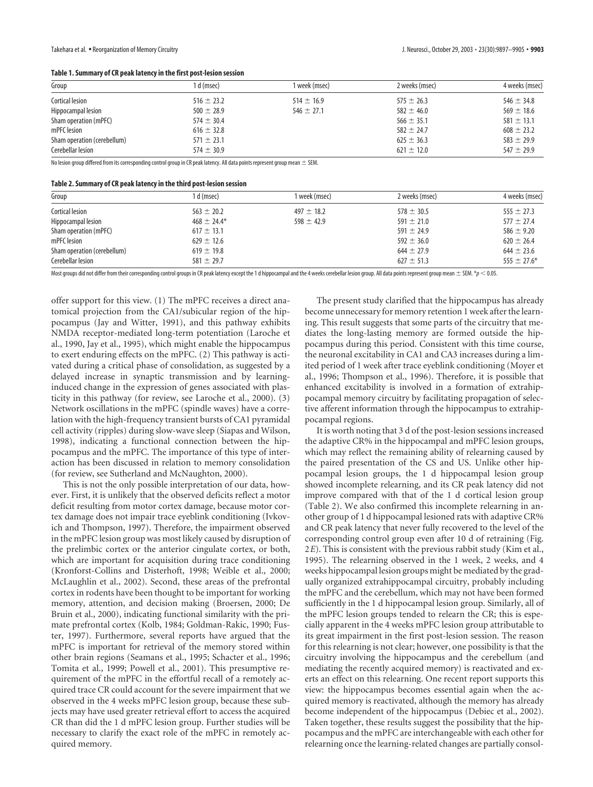| Group                       | l d (msec)     | 1 week (msec)  | 2 weeks (msec) | 4 weeks (msec) |
|-----------------------------|----------------|----------------|----------------|----------------|
| Cortical lesion             | $516 \pm 23.2$ | $514 \pm 16.9$ | $575 \pm 26.3$ | $546 \pm 34.8$ |
| Hippocampal lesion          | $500 \pm 28.9$ | $546 \pm 27.1$ | $582 \pm 46.0$ | $569 \pm 18.6$ |
| Sham operation (mPFC)       | $574 \pm 30.4$ |                | $566 \pm 35.1$ | $581 \pm 13.1$ |
| mPFC lesion                 | $616 \pm 32.8$ |                | $582 \pm 24.7$ | $608 \pm 23.2$ |
| Sham operation (cerebellum) | $571 \pm 23.1$ |                | $625 \pm 36.3$ | $583 \pm 29.9$ |
| Cerebellar lesion           | $574 \pm 30.9$ |                | $621 \pm 12.0$ | $547 \pm 29.9$ |

No lesion group differed from its corresponding control group in CR peak latency. All data points represent group mean  $\pm$  SEM.

| Group                       | 1 d (msec)      | 1 week (msec)  | 2 weeks (msec) | 4 weeks (msec)  |
|-----------------------------|-----------------|----------------|----------------|-----------------|
| Cortical lesion             | $563 \pm 20.2$  | $497 \pm 18.2$ | $578 \pm 30.5$ | $555 \pm 27.3$  |
| Hippocampal lesion          | $468 \pm 24.4*$ | $598 \pm 42.9$ | $591 \pm 21.0$ | $577 \pm 27.4$  |
| Sham operation (mPFC)       | $617 \pm 13.1$  |                | $591 \pm 24.9$ | 586 $\pm$ 9.20  |
| mPFC lesion                 | $629 \pm 12.6$  |                | $592 \pm 36.0$ | $620 \pm 26.4$  |
| Sham operation (cerebellum) | $619 \pm 19.8$  |                | $644 \pm 27.9$ | $644 \pm 23.6$  |
| Cerebellar lesion           | $581 \pm 29.7$  |                | $627 \pm 51.3$ | $555 \pm 27.6*$ |

Most groups did not differ from their corresponding control groups in CR peak latency except the 1 d hippocampal and the 4 weeks cerebellar lesion group. All data points represent group mean  $\pm$  SEM.  $\ast$   $p$  < 0.05.

offer support for this view. (1) The mPFC receives a direct anatomical projection from the CA1/subicular region of the hippocampus (Jay and Witter, 1991), and this pathway exhibits NMDA receptor-mediated long-term potentiation (Laroche et al., 1990, Jay et al., 1995), which might enable the hippocampus to exert enduring effects on the mPFC. (2) This pathway is activated during a critical phase of consolidation, as suggested by a delayed increase in synaptic transmission and by learninginduced change in the expression of genes associated with plasticity in this pathway (for review, see Laroche et al., 2000). (3) Network oscillations in the mPFC (spindle waves) have a correlation with the high-frequency transient bursts of CA1 pyramidal cell activity (ripples) during slow-wave sleep (Siapas and Wilson, 1998), indicating a functional connection between the hippocampus and the mPFC. The importance of this type of interaction has been discussed in relation to memory consolidation (for review, see Sutherland and McNaughton, 2000).

This is not the only possible interpretation of our data, however. First, it is unlikely that the observed deficits reflect a motor deficit resulting from motor cortex damage, because motor cortex damage does not impair trace eyeblink conditioning (Ivkovich and Thompson, 1997). Therefore, the impairment observed in the mPFC lesion group was most likely caused by disruption of the prelimbic cortex or the anterior cingulate cortex, or both, which are important for acquisition during trace conditioning (Kronforst-Collins and Disterhoft, 1998; Weible et al., 2000; McLaughlin et al., 2002). Second, these areas of the prefrontal cortex in rodents have been thought to be important for working memory, attention, and decision making (Broersen, 2000; De Bruin et al., 2000), indicating functional similarity with the primate prefrontal cortex (Kolb, 1984; Goldman-Rakic, 1990; Fuster, 1997). Furthermore, several reports have argued that the mPFC is important for retrieval of the memory stored within other brain regions (Seamans et al., 1995; Schacter et al., 1996; Tomita et al., 1999; Powell et al., 2001). This presumptive requirement of the mPFC in the effortful recall of a remotely acquired trace CR could account for the severe impairment that we observed in the 4 weeks mPFC lesion group, because these subjects may have used greater retrieval effort to access the acquired CR than did the 1 d mPFC lesion group. Further studies will be necessary to clarify the exact role of the mPFC in remotely acquired memory.

The present study clarified that the hippocampus has already become unnecessary for memory retention 1 week after the learning. This result suggests that some parts of the circuitry that mediates the long-lasting memory are formed outside the hippocampus during this period. Consistent with this time course, the neuronal excitability in CA1 and CA3 increases during a limited period of 1 week after trace eyeblink conditioning (Moyer et al., 1996; Thompson et al., 1996). Therefore, it is possible that enhanced excitability is involved in a formation of extrahippocampal memory circuitry by facilitating propagation of selective afferent information through the hippocampus to extrahippocampal regions.

It is worth noting that 3 d of the post-lesion sessions increased the adaptive CR% in the hippocampal and mPFC lesion groups, which may reflect the remaining ability of relearning caused by the paired presentation of the CS and US. Unlike other hippocampal lesion groups, the 1 d hippocampal lesion group showed incomplete relearning, and its CR peak latency did not improve compared with that of the 1 d cortical lesion group (Table 2). We also confirmed this incomplete relearning in another group of 1 d hippocampal lesioned rats with adaptive CR% and CR peak latency that never fully recovered to the level of the corresponding control group even after 10 d of retraining (Fig. 2*E*). This is consistent with the previous rabbit study (Kim et al., 1995). The relearning observed in the 1 week, 2 weeks, and 4 weeks hippocampal lesion groups might be mediated by the gradually organized extrahippocampal circuitry, probably including the mPFC and the cerebellum, which may not have been formed sufficiently in the 1 d hippocampal lesion group. Similarly, all of the mPFC lesion groups tended to relearn the CR; this is especially apparent in the 4 weeks mPFC lesion group attributable to its great impairment in the first post-lesion session. The reason for this relearning is not clear; however, one possibility is that the circuitry involving the hippocampus and the cerebellum (and mediating the recently acquired memory) is reactivated and exerts an effect on this relearning. One recent report supports this view: the hippocampus becomes essential again when the acquired memory is reactivated, although the memory has already become independent of the hippocampus (Debiec et al., 2002). Taken together, these results suggest the possibility that the hippocampus and the mPFC are interchangeable with each other for relearning once the learning-related changes are partially consol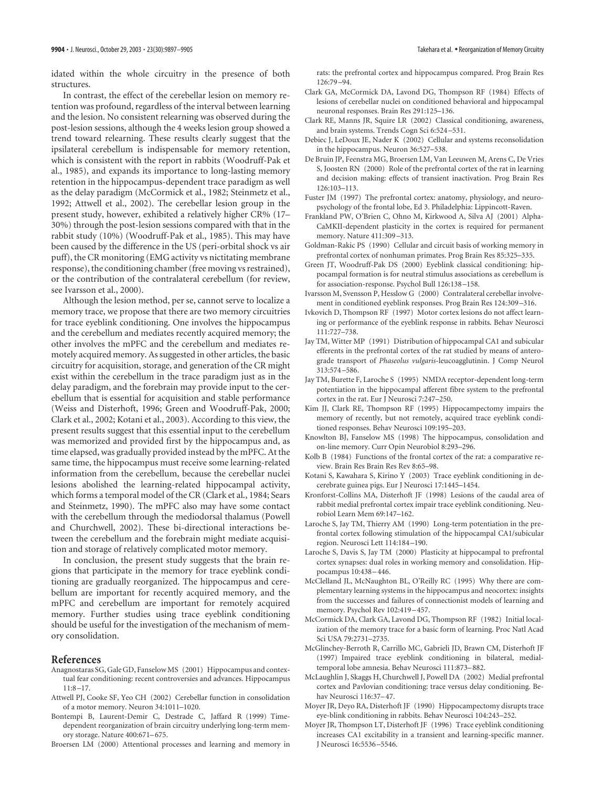idated within the whole circuitry in the presence of both structures.

In contrast, the effect of the cerebellar lesion on memory retention was profound, regardless of the interval between learning and the lesion. No consistent relearning was observed during the post-lesion sessions, although the 4 weeks lesion group showed a trend toward relearning. These results clearly suggest that the ipsilateral cerebellum is indispensable for memory retention, which is consistent with the report in rabbits (Woodruff-Pak et al., 1985), and expands its importance to long-lasting memory retention in the hippocampus-dependent trace paradigm as well as the delay paradigm (McCormick et al., 1982; Steinmetz et al., 1992; Attwell et al., 2002). The cerebellar lesion group in the present study, however, exhibited a relatively higher CR% (17– 30%) through the post-lesion sessions compared with that in the rabbit study (10%) (Woodruff-Pak et al., 1985). This may have been caused by the difference in the US (peri-orbital shock vs air puff), the CR monitoring (EMG activity vs nictitating membrane response), the conditioning chamber (free moving vs restrained), or the contribution of the contralateral cerebellum (for review, see Ivarsson et al., 2000).

Although the lesion method, per se, cannot serve to localize a memory trace, we propose that there are two memory circuitries for trace eyeblink conditioning. One involves the hippocampus and the cerebellum and mediates recently acquired memory; the other involves the mPFC and the cerebellum and mediates remotely acquired memory. As suggested in other articles, the basic circuitry for acquisition, storage, and generation of the CR might exist within the cerebellum in the trace paradigm just as in the delay paradigm, and the forebrain may provide input to the cerebellum that is essential for acquisition and stable performance (Weiss and Disterhoft, 1996; Green and Woodruff-Pak, 2000; Clark et al., 2002; Kotani et al., 2003). According to this view, the present results suggest that this essential input to the cerebellum was memorized and provided first by the hippocampus and, as time elapsed, was gradually provided instead by the mPFC. At the same time, the hippocampus must receive some learning-related information from the cerebellum, because the cerebellar nuclei lesions abolished the learning-related hippocampal activity, which forms a temporal model of the CR (Clark et al., 1984; Sears and Steinmetz, 1990). The mPFC also may have some contact with the cerebellum through the mediodorsal thalamus (Powell and Churchwell, 2002). These bi-directional interactions between the cerebellum and the forebrain might mediate acquisition and storage of relatively complicated motor memory.

In conclusion, the present study suggests that the brain regions that participate in the memory for trace eyeblink conditioning are gradually reorganized. The hippocampus and cerebellum are important for recently acquired memory, and the mPFC and cerebellum are important for remotely acquired memory. Further studies using trace eyeblink conditioning should be useful for the investigation of the mechanism of memory consolidation.

#### **References**

- Anagnostaras SG, Gale GD, Fanselow MS (2001) Hippocampus and contextual fear conditioning: recent controversies and advances. Hippocampus 11:8–17.
- Attwell PJ, Cooke SF, Yeo CH (2002) Cerebellar function in consolidation of a motor memory. Neuron 34:1011–1020.
- Bontempi B, Laurent-Demir C, Destrade C, Jaffard R (1999) Timedependent reorganization of brain circuitry underlying long-term memory storage. Nature 400:671–675.
- Broersen LM (2000) Attentional processes and learning and memory in

rats: the prefrontal cortex and hippocampus compared. Prog Brain Res 126:79–94.

- Clark GA, McCormick DA, Lavond DG, Thompson RF (1984) Effects of lesions of cerebellar nuclei on conditioned behavioral and hippocampal neuronal responses. Brain Res 291:125–136.
- Clark RE, Manns JR, Squire LR (2002) Classical conditioning, awareness, and brain systems. Trends Cogn Sci 6:524–531.
- Debiec J, LeDoux JE, Nader K (2002) Cellular and systems reconsolidation in the hippocampus. Neuron 36:527–538.
- De Bruin JP, Feenstra MG, Broersen LM, Van Leeuwen M, Arens C, De Vries S, Joosten RN (2000) Role of the prefrontal cortex of the rat in learning and decision making: effects of transient inactivation. Prog Brain Res 126:103–113.
- Fuster JM (1997) The prefrontal cortex: anatomy, physiology, and neuropsychology of the frontal lobe, Ed 3. Philadelphia: Lippincott-Raven.
- Frankland PW, O'Brien C, Ohno M, Kirkwood A, Silva AJ (2001) Alpha-CaMKII-dependent plasticity in the cortex is required for permanent memory. Nature 411:309–313.
- Goldman-Rakic PS (1990) Cellular and circuit basis of working memory in prefrontal cortex of nonhuman primates. Prog Brain Res 85:325–335.
- Green JT, Woodruff-Pak DS (2000) Eyeblink classical conditioning: hippocampal formation is for neutral stimulus associations as cerebellum is for association-response. Psychol Bull 126:138–158.
- Ivarsson M, Svensson P, Hesslow G (2000) Contralateral cerebellar involvement in conditioned eyeblink responses. Prog Brain Res 124:309–316.
- Ivkovich D, Thompson RF (1997) Motor cortex lesions do not affect learning or performance of the eyeblink response in rabbits. Behav Neurosci 111:727–738.
- Jay TM, Witter MP (1991) Distribution of hippocampal CA1 and subicular efferents in the prefrontal cortex of the rat studied by means of anterograde transport of *Phaseolus vulgaris*-leucoagglutinin. J Comp Neurol 313:574–586.
- Jay TM, Burette F, Laroche S (1995) NMDA receptor-dependent long-term potentiation in the hippocampal afferent fibre system to the prefrontal cortex in the rat. Eur J Neurosci 7:247–250.
- Kim JJ, Clark RE, Thompson RF (1995) Hippocampectomy impairs the memory of recently, but not remotely, acquired trace eyeblink conditioned responses. Behav Neurosci 109:195–203.
- Knowlton BJ, Fanselow MS (1998) The hippocampus, consolidation and on-line memory. Curr Opin Neurobiol 8:293–296.
- Kolb B (1984) Functions of the frontal cortex of the rat: a comparative review. Brain Res Brain Res Rev 8:65–98.
- Kotani S, Kawahara S, Kirino Y (2003) Trace eyeblink conditioning in decerebrate guinea pigs. Eur J Neurosci 17:1445–1454.
- Kronforst-Collins MA, Disterhoft JF (1998) Lesions of the caudal area of rabbit medial prefrontal cortex impair trace eyeblink conditioning. Neurobiol Learn Mem 69:147–162.
- Laroche S, Jay TM, Thierry AM (1990) Long-term potentiation in the prefrontal cortex following stimulation of the hippocampal CA1/subicular region. Neurosci Lett 114:184–190.
- Laroche S, Davis S, Jay TM (2000) Plasticity at hippocampal to prefrontal cortex synapses: dual roles in working memory and consolidation. Hippocampus 10:438–446.
- McClelland JL, McNaughton BL, O'Reilly RC (1995) Why there are complementary learning systems in the hippocampus and neocortex: insights from the successes and failures of connectionist models of learning and memory. Psychol Rev 102:419–457.
- McCormick DA, Clark GA, Lavond DG, Thompson RF (1982) Initial localization of the memory trace for a basic form of learning. Proc Natl Acad Sci USA 79:2731–2735.
- McGlinchey-Berroth R, Carrillo MC, Gabrieli JD, Brawn CM, Disterhoft JF (1997) Impaired trace eyeblink conditioning in bilateral, medialtemporal lobe amnesia. Behav Neurosci 111:873–882.
- McLaughlin J, Skaggs H, Churchwell J, Powell DA (2002) Medial prefrontal cortex and Pavlovian conditioning: trace versus delay conditioning. Behav Neurosci 116:37–47.
- Moyer JR, Deyo RA, Disterhoft JF (1990) Hippocampectomy disrupts trace eye-blink conditioning in rabbits. Behav Neurosci 104:243–252.
- Moyer JR, Thompson LT, Disterhoft JF (1996) Trace eyeblink conditioning increases CA1 excitability in a transient and learning-specific manner. J Neurosci 16:5536–5546.